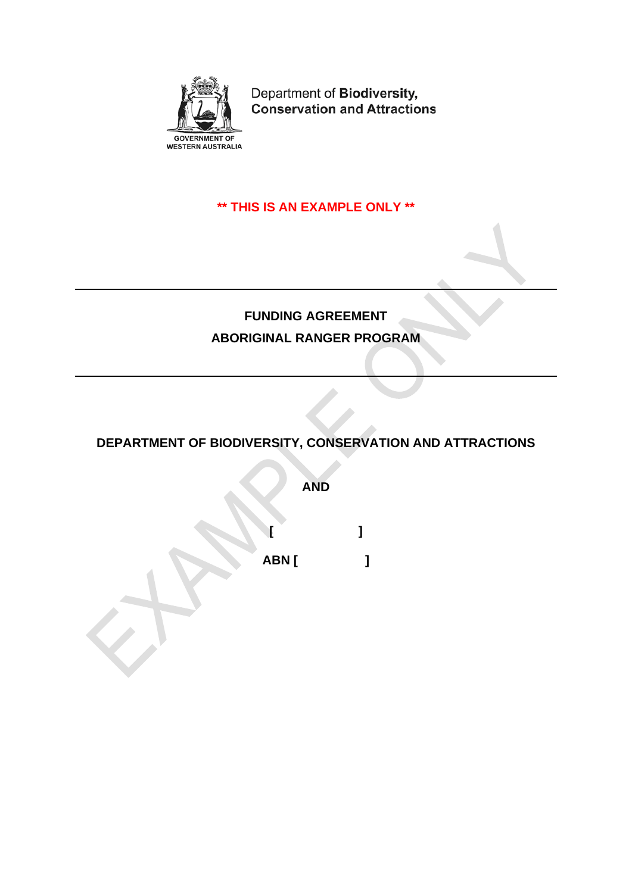

Department of Biodiversity, **Conservation and Attractions** 

# **\*\* THIS IS AN EXAMPLE ONLY \*\***

# **FUNDING AGREEMENT ABORIGINAL RANGER PROGRAM**

**DEPARTMENT OF BIODIVERSITY, CONSERVATION AND ATTRACTIONS**

**AND**

**[ ] ABN [ ]**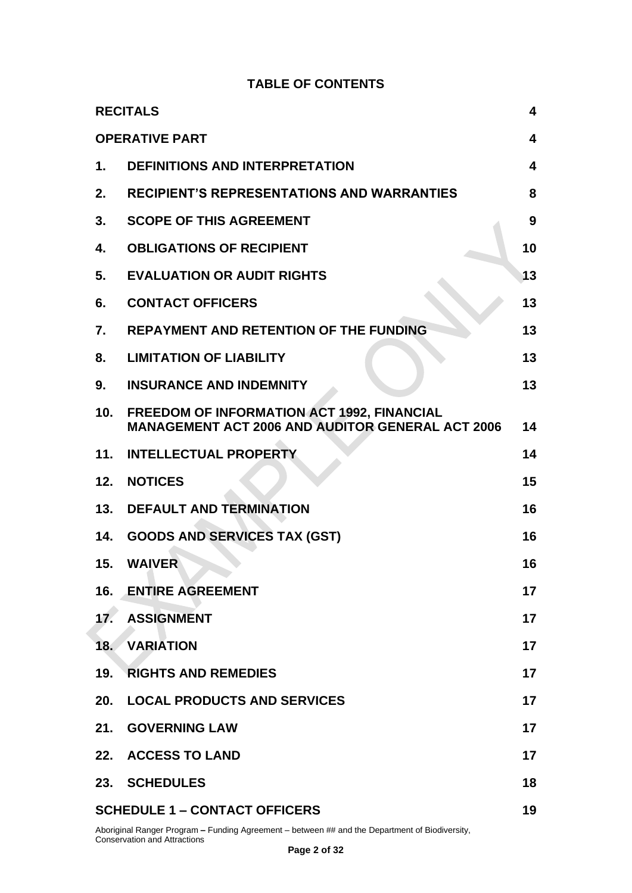## **TABLE OF CONTENTS**

|               | <b>RECITALS</b>                                                                                              | 4  |
|---------------|--------------------------------------------------------------------------------------------------------------|----|
|               | <b>OPERATIVE PART</b>                                                                                        | 4  |
| $\mathbf 1$ . | <b>DEFINITIONS AND INTERPRETATION</b>                                                                        | 4  |
| 2.            | <b>RECIPIENT'S REPRESENTATIONS AND WARRANTIES</b>                                                            | 8  |
| 3.            | <b>SCOPE OF THIS AGREEMENT</b>                                                                               | 9  |
| 4.            | <b>OBLIGATIONS OF RECIPIENT</b>                                                                              | 10 |
| 5.            | <b>EVALUATION OR AUDIT RIGHTS</b>                                                                            | 13 |
| 6.            | <b>CONTACT OFFICERS</b>                                                                                      | 13 |
| 7.            | <b>REPAYMENT AND RETENTION OF THE FUNDING</b>                                                                | 13 |
| 8.            | <b>LIMITATION OF LIABILITY</b>                                                                               | 13 |
| 9.            | <b>INSURANCE AND INDEMNITY</b>                                                                               | 13 |
| 10.           | <b>FREEDOM OF INFORMATION ACT 1992, FINANCIAL</b><br><b>MANAGEMENT ACT 2006 AND AUDITOR GENERAL ACT 2006</b> | 14 |
| 11.           | <b>INTELLECTUAL PROPERTY</b>                                                                                 | 14 |
| 12.           | <b>NOTICES</b>                                                                                               | 15 |
| 13.           | <b>DEFAULT AND TERMINATION</b>                                                                               | 16 |
| 14.           | <b>GOODS AND SERVICES TAX (GST)</b>                                                                          | 16 |
| 15.           | <b>WAIVER</b>                                                                                                | 16 |
| 16.           | <b>ENTIRE AGREEMENT</b>                                                                                      | 17 |
| 17.           | <b>ASSIGNMENT</b>                                                                                            | 17 |
| 18.           | <b>VARIATION</b>                                                                                             | 17 |
| 19.           | <b>RIGHTS AND REMEDIES</b>                                                                                   | 17 |
| 20.           | <b>LOCAL PRODUCTS AND SERVICES</b>                                                                           | 17 |
|               | 21. GOVERNING LAW                                                                                            | 17 |
|               | 22. ACCESS TO LAND                                                                                           | 17 |
|               | 23. SCHEDULES                                                                                                | 18 |
|               | <b>SCHEDULE 1 - CONTACT OFFICERS</b>                                                                         | 19 |

Aboriginal Ranger Program **–** Funding Agreement – between ## and the Department of Biodiversity, Conservation and Attractions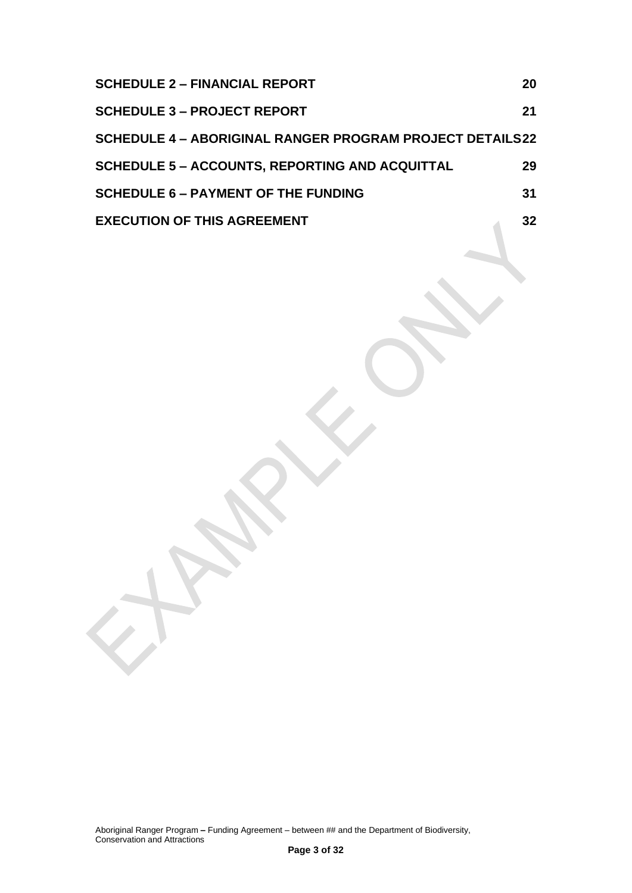| <b>SCHEDULE 2 - FINANCIAL REPORT</b>                            | 20 |
|-----------------------------------------------------------------|----|
| <b>SCHEDULE 3 - PROJECT REPORT</b>                              | 21 |
| <b>SCHEDULE 4 - ABORIGINAL RANGER PROGRAM PROJECT DETAILS22</b> |    |
| <b>SCHEDULE 5 - ACCOUNTS, REPORTING AND ACQUITTAL</b>           | 29 |
| <b>SCHEDULE 6 - PAYMENT OF THE FUNDING</b>                      | 31 |
| <b>EXECUTION OF THIS AGREEMENT</b>                              | 32 |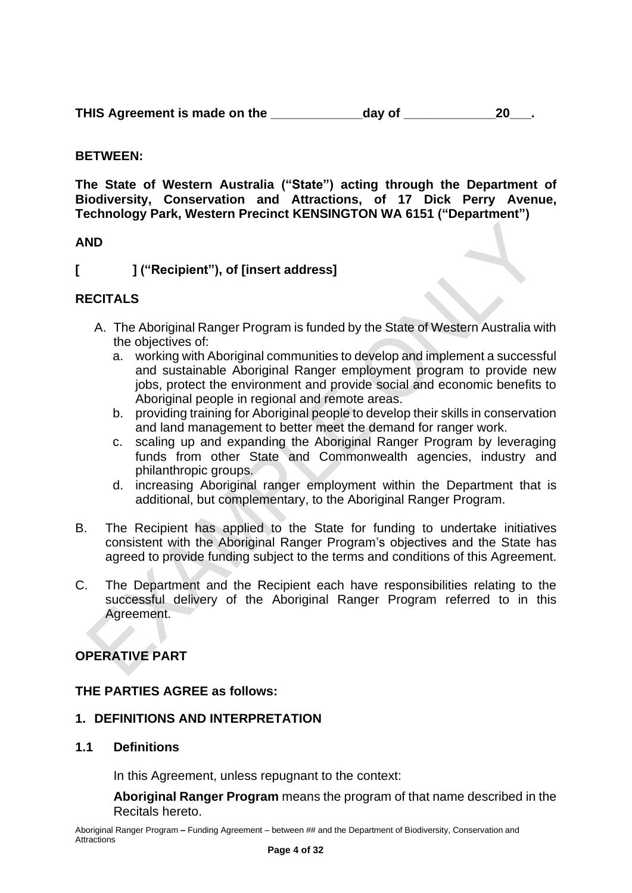THIS Agreement is made on the day of **the age of the set of the set of the set of the set of the set of the set of the set of the set of the set of the set of the set of the set of the set of the set of the set of the set** 

## **BETWEEN:**

**The State of Western Australia ("State") acting through the Department of Biodiversity, Conservation and Attractions, of 17 Dick Perry Avenue, Technology Park, Western Precinct KENSINGTON WA 6151 ("Department")**

#### **AND**

**[ ] ("Recipient"), of [insert address]**

## <span id="page-3-0"></span>**RECITALS**

- A. The Aboriginal Ranger Program is funded by the State of Western Australia with the objectives of:
	- a. working with Aboriginal communities to develop and implement a successful and sustainable Aboriginal Ranger employment program to provide new jobs, protect the environment and provide social and economic benefits to Aboriginal people in regional and remote areas.
	- b. providing training for Aboriginal people to develop their skills in conservation and land management to better meet the demand for ranger work.
	- c. scaling up and expanding the Aboriginal Ranger Program by leveraging funds from other State and Commonwealth agencies, industry and philanthropic groups.
	- d. increasing Aboriginal ranger employment within the Department that is additional, but complementary, to the Aboriginal Ranger Program.
- B. The Recipient has applied to the State for funding to undertake initiatives consistent with the Aboriginal Ranger Program's objectives and the State has agreed to provide funding subject to the terms and conditions of this Agreement.
- C. The Department and the Recipient each have responsibilities relating to the successful delivery of the Aboriginal Ranger Program referred to in this Agreement.

## <span id="page-3-1"></span>**OPERATIVE PART**

## **THE PARTIES AGREE as follows:**

#### <span id="page-3-2"></span>**1. DEFINITIONS AND INTERPRETATION**

#### **1.1 Definitions**

In this Agreement, unless repugnant to the context:

**Aboriginal Ranger Program** means the program of that name described in the Recitals hereto.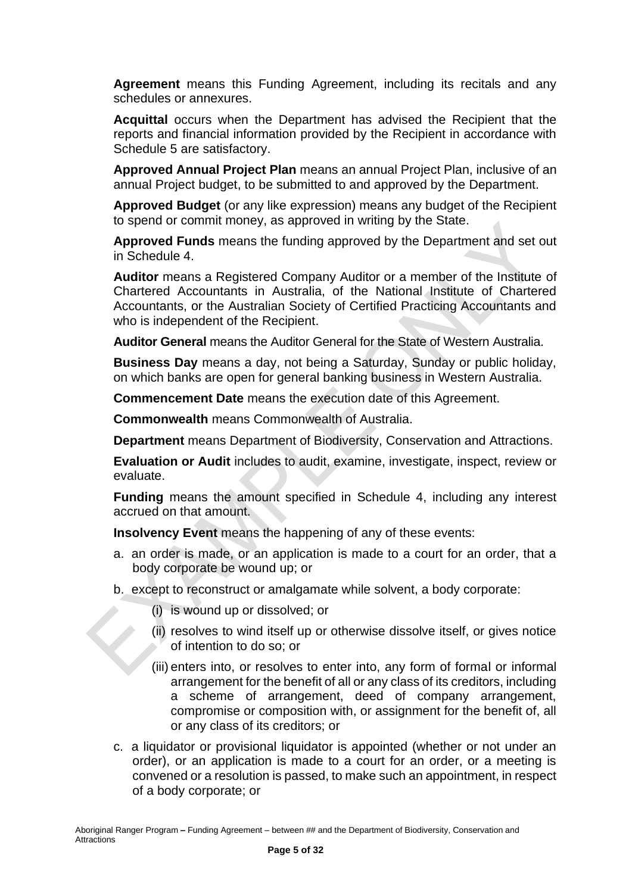**Agreement** means this Funding Agreement, including its recitals and any schedules or annexures.

**Acquittal** occurs when the Department has advised the Recipient that the reports and financial information provided by the Recipient in accordance with Schedule 5 are satisfactory.

**Approved Annual Project Plan** means an annual Project Plan, inclusive of an annual Project budget, to be submitted to and approved by the Department.

**Approved Budget** (or any like expression) means any budget of the Recipient to spend or commit money, as approved in writing by the State.

**Approved Funds** means the funding approved by the Department and set out in Schedule 4.

**Auditor** means a Registered Company Auditor or a member of the Institute of Chartered Accountants in Australia, of the National Institute of Chartered Accountants, or the Australian Society of Certified Practicing Accountants and who is independent of the Recipient.

**Auditor General** means the Auditor General for the State of Western Australia.

**Business Day** means a day, not being a Saturday, Sunday or public holiday, on which banks are open for general banking business in Western Australia.

**Commencement Date** means the execution date of this Agreement.

**Commonwealth** means Commonwealth of Australia.

**Department** means Department of Biodiversity, Conservation and Attractions.

**Evaluation or Audit** includes to audit, examine, investigate, inspect, review or evaluate.

**Funding** means the amount specified in Schedule 4, including any interest accrued on that amount.

**Insolvency Event** means the happening of any of these events:

- a. an order is made, or an application is made to a court for an order, that a body corporate be wound up; or
- b. except to reconstruct or amalgamate while solvent, a body corporate:
	- (i) is wound up or dissolved; or
	- (ii) resolves to wind itself up or otherwise dissolve itself, or gives notice of intention to do so; or
	- (iii) enters into, or resolves to enter into, any form of formal or informal arrangement for the benefit of all or any class of its creditors, including a scheme of arrangement, deed of company arrangement, compromise or composition with, or assignment for the benefit of, all or any class of its creditors; or
- c. a liquidator or provisional liquidator is appointed (whether or not under an order), or an application is made to a court for an order, or a meeting is convened or a resolution is passed, to make such an appointment, in respect of a body corporate; or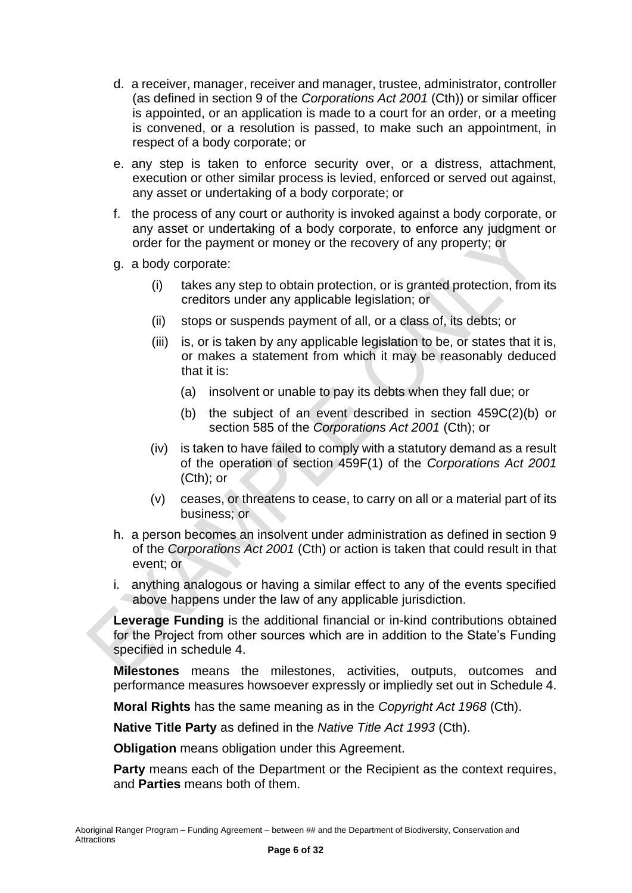- d. a receiver, manager, receiver and manager, trustee, administrator, controller (as defined in section 9 of the *Corporations Act 2001* (Cth)) or similar officer is appointed, or an application is made to a court for an order, or a meeting is convened, or a resolution is passed, to make such an appointment, in respect of a body corporate; or
- e. any step is taken to enforce security over, or a distress, attachment, execution or other similar process is levied, enforced or served out against, any asset or undertaking of a body corporate; or
- f. the process of any court or authority is invoked against a body corporate, or any asset or undertaking of a body corporate, to enforce any judgment or order for the payment or money or the recovery of any property; or
- g. a body corporate:
	- (i) takes any step to obtain protection, or is granted protection, from its creditors under any applicable legislation; or
	- (ii) stops or suspends payment of all, or a class of, its debts; or
	- (iii) is, or is taken by any applicable legislation to be, or states that it is, or makes a statement from which it may be reasonably deduced that it is:
		- (a) insolvent or unable to pay its debts when they fall due; or
		- (b) the subject of an event described in section 459C(2)(b) or section 585 of the *Corporations Act 2001* (Cth); or
	- (iv) is taken to have failed to comply with a statutory demand as a result of the operation of section 459F(1) of the *Corporations Act 2001* (Cth); or
	- (v) ceases, or threatens to cease, to carry on all or a material part of its business; or
- h. a person becomes an insolvent under administration as defined in section 9 of the *Corporations Act 2001* (Cth) or action is taken that could result in that event; or
- i. anything analogous or having a similar effect to any of the events specified above happens under the law of any applicable jurisdiction.

**Leverage Funding** is the additional financial or in-kind contributions obtained for the Project from other sources which are in addition to the State's Funding specified in schedule 4.

**Milestones** means the milestones, activities, outputs, outcomes and performance measures howsoever expressly or impliedly set out in Schedule 4.

**Moral Rights** has the same meaning as in the *Copyright Act 1968* (Cth).

**Native Title Party** as defined in the *Native Title Act 1993* (Cth).

**Obligation** means obligation under this Agreement.

**Party** means each of the Department or the Recipient as the context requires, and **Parties** means both of them.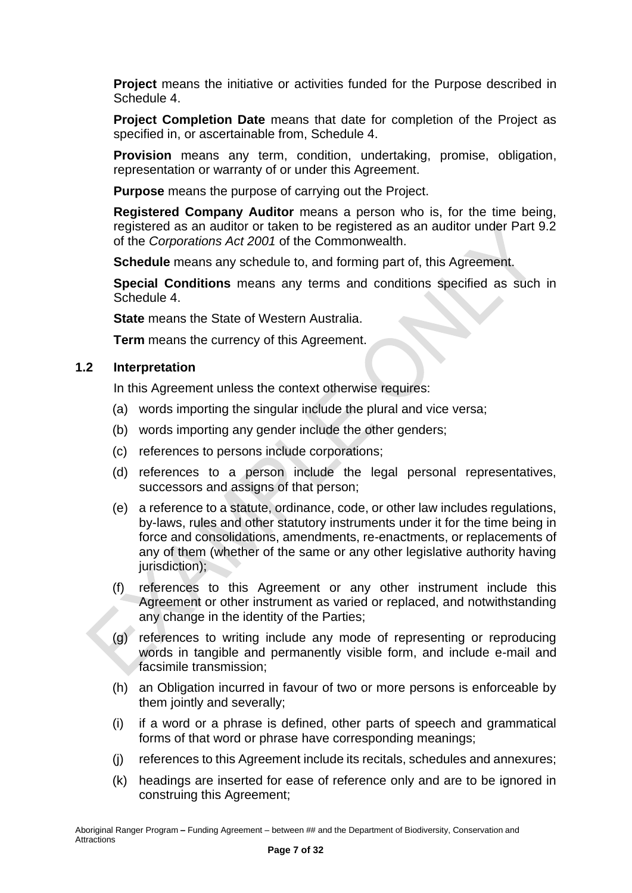**Project** means the initiative or activities funded for the Purpose described in Schedule 4.

**Project Completion Date** means that date for completion of the Project as specified in, or ascertainable from, Schedule 4.

**Provision** means any term, condition, undertaking, promise, obligation, representation or warranty of or under this Agreement.

**Purpose** means the purpose of carrying out the Project.

**Registered Company Auditor** means a person who is, for the time being, registered as an auditor or taken to be registered as an auditor under Part 9.2 of the *Corporations Act 2001* of the Commonwealth.

**Schedule** means any schedule to, and forming part of, this Agreement.

**Special Conditions** means any terms and conditions specified as such in Schedule 4.

**State** means the State of Western Australia.

**Term** means the currency of this Agreement.

#### **1.2 Interpretation**

In this Agreement unless the context otherwise requires:

- (a) words importing the singular include the plural and vice versa;
- (b) words importing any gender include the other genders;
- (c) references to persons include corporations;
- (d) references to a person include the legal personal representatives, successors and assigns of that person;
- (e) a reference to a statute, ordinance, code, or other law includes regulations, by-laws, rules and other statutory instruments under it for the time being in force and consolidations, amendments, re-enactments, or replacements of any of them (whether of the same or any other legislative authority having jurisdiction);
- (f) references to this Agreement or any other instrument include this Agreement or other instrument as varied or replaced, and notwithstanding any change in the identity of the Parties;
- (g) references to writing include any mode of representing or reproducing words in tangible and permanently visible form, and include e-mail and facsimile transmission;
- (h) an Obligation incurred in favour of two or more persons is enforceable by them jointly and severally;
- (i) if a word or a phrase is defined, other parts of speech and grammatical forms of that word or phrase have corresponding meanings;
- (j) references to this Agreement include its recitals, schedules and annexures;
- (k) headings are inserted for ease of reference only and are to be ignored in construing this Agreement;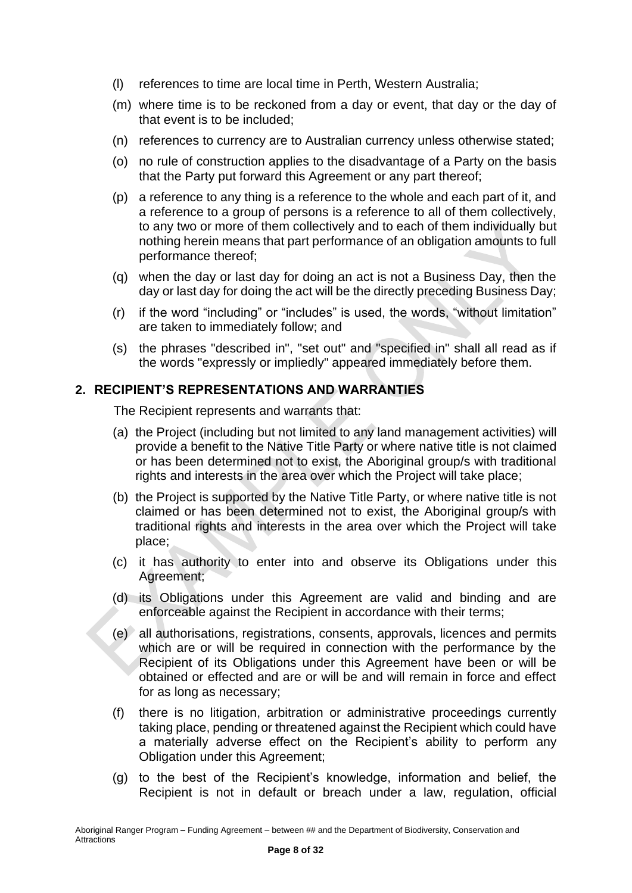- (l) references to time are local time in Perth, Western Australia;
- (m) where time is to be reckoned from a day or event, that day or the day of that event is to be included;
- (n) references to currency are to Australian currency unless otherwise stated;
- (o) no rule of construction applies to the disadvantage of a Party on the basis that the Party put forward this Agreement or any part thereof;
- (p) a reference to any thing is a reference to the whole and each part of it, and a reference to a group of persons is a reference to all of them collectively, to any two or more of them collectively and to each of them individually but nothing herein means that part performance of an obligation amounts to full performance thereof;
- (q) when the day or last day for doing an act is not a Business Day, then the day or last day for doing the act will be the directly preceding Business Day;
- (r) if the word "including" or "includes" is used, the words, "without limitation" are taken to immediately follow; and
- (s) the phrases "described in", "set out" and "specified in" shall all read as if the words "expressly or impliedly" appeared immediately before them.

#### <span id="page-7-0"></span>**2. RECIPIENT'S REPRESENTATIONS AND WARRANTIES**

The Recipient represents and warrants that:

- (a) the Project (including but not limited to any land management activities) will provide a benefit to the Native Title Party or where native title is not claimed or has been determined not to exist, the Aboriginal group/s with traditional rights and interests in the area over which the Project will take place;
- (b) the Project is supported by the Native Title Party, or where native title is not claimed or has been determined not to exist, the Aboriginal group/s with traditional rights and interests in the area over which the Project will take place;
- (c) it has authority to enter into and observe its Obligations under this Agreement;
- (d) its Obligations under this Agreement are valid and binding and are enforceable against the Recipient in accordance with their terms;
- (e) all authorisations, registrations, consents, approvals, licences and permits which are or will be required in connection with the performance by the Recipient of its Obligations under this Agreement have been or will be obtained or effected and are or will be and will remain in force and effect for as long as necessary;
- (f) there is no litigation, arbitration or administrative proceedings currently taking place, pending or threatened against the Recipient which could have a materially adverse effect on the Recipient's ability to perform any Obligation under this Agreement;
- (g) to the best of the Recipient's knowledge, information and belief, the Recipient is not in default or breach under a law, regulation, official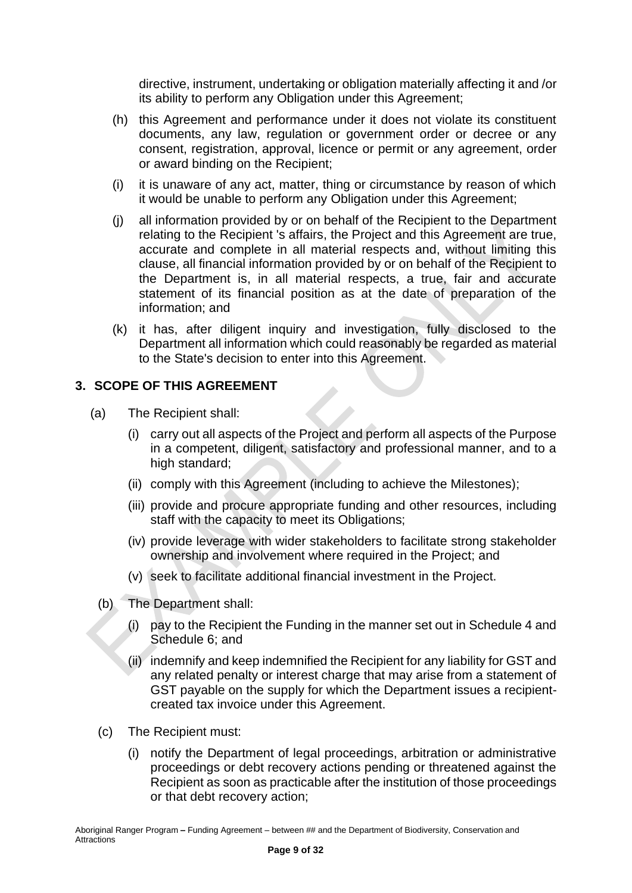directive, instrument, undertaking or obligation materially affecting it and /or its ability to perform any Obligation under this Agreement;

- (h) this Agreement and performance under it does not violate its constituent documents, any law, regulation or government order or decree or any consent, registration, approval, licence or permit or any agreement, order or award binding on the Recipient;
- (i) it is unaware of any act, matter, thing or circumstance by reason of which it would be unable to perform any Obligation under this Agreement;
- (j) all information provided by or on behalf of the Recipient to the Department relating to the Recipient 's affairs, the Project and this Agreement are true, accurate and complete in all material respects and, without limiting this clause, all financial information provided by or on behalf of the Recipient to the Department is, in all material respects, a true, fair and accurate statement of its financial position as at the date of preparation of the information; and
- (k) it has, after diligent inquiry and investigation, fully disclosed to the Department all information which could reasonably be regarded as material to the State's decision to enter into this Agreement.

## <span id="page-8-0"></span>**3. SCOPE OF THIS AGREEMENT**

- (a) The Recipient shall:
	- (i) carry out all aspects of the Project and perform all aspects of the Purpose in a competent, diligent, satisfactory and professional manner, and to a high standard;
	- (ii) comply with this Agreement (including to achieve the Milestones);
	- (iii) provide and procure appropriate funding and other resources, including staff with the capacity to meet its Obligations;
	- (iv) provide leverage with wider stakeholders to facilitate strong stakeholder ownership and involvement where required in the Project; and
	- (v) seek to facilitate additional financial investment in the Project.
	- (b) The Department shall:
		- (i) pay to the Recipient the Funding in the manner set out in Schedule 4 and Schedule 6; and
		- (ii) indemnify and keep indemnified the Recipient for any liability for GST and any related penalty or interest charge that may arise from a statement of GST payable on the supply for which the Department issues a recipientcreated tax invoice under this Agreement.
	- (c) The Recipient must:
		- (i) notify the Department of legal proceedings, arbitration or administrative proceedings or debt recovery actions pending or threatened against the Recipient as soon as practicable after the institution of those proceedings or that debt recovery action;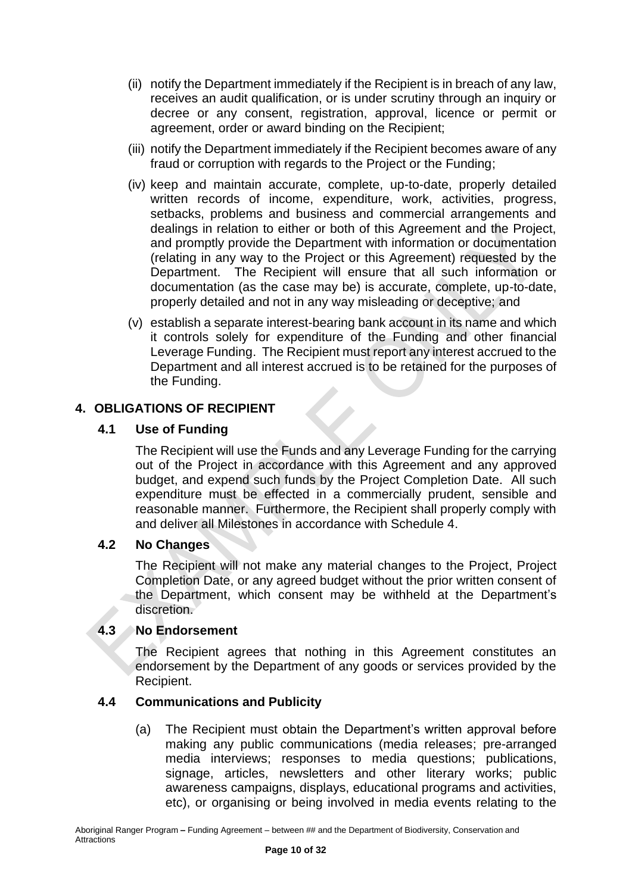- (ii) notify the Department immediately if the Recipient is in breach of any law, receives an audit qualification, or is under scrutiny through an inquiry or decree or any consent, registration, approval, licence or permit or agreement, order or award binding on the Recipient;
- (iii) notify the Department immediately if the Recipient becomes aware of any fraud or corruption with regards to the Project or the Funding;
- (iv) keep and maintain accurate, complete, up-to-date, properly detailed written records of income, expenditure, work, activities, progress, setbacks, problems and business and commercial arrangements and dealings in relation to either or both of this Agreement and the Project, and promptly provide the Department with information or documentation (relating in any way to the Project or this Agreement) requested by the Department. The Recipient will ensure that all such information or documentation (as the case may be) is accurate, complete, up-to-date, properly detailed and not in any way misleading or deceptive; and
- (v) establish a separate interest-bearing bank account in its name and which it controls solely for expenditure of the Funding and other financial Leverage Funding. The Recipient must report any interest accrued to the Department and all interest accrued is to be retained for the purposes of the Funding.

## <span id="page-9-0"></span>**4. OBLIGATIONS OF RECIPIENT**

## **4.1 Use of Funding**

The Recipient will use the Funds and any Leverage Funding for the carrying out of the Project in accordance with this Agreement and any approved budget, and expend such funds by the Project Completion Date. All such expenditure must be effected in a commercially prudent, sensible and reasonable manner. Furthermore, the Recipient shall properly comply with and deliver all Milestones in accordance with Schedule 4.

#### **4.2 No Changes**

The Recipient will not make any material changes to the Project, Project Completion Date, or any agreed budget without the prior written consent of the Department, which consent may be withheld at the Department's discretion.

#### **4.3 No Endorsement**

The Recipient agrees that nothing in this Agreement constitutes an endorsement by the Department of any goods or services provided by the Recipient.

#### **4.4 Communications and Publicity**

(a) The Recipient must obtain the Department's written approval before making any public communications (media releases; pre-arranged media interviews; responses to media questions; publications, signage, articles, newsletters and other literary works; public awareness campaigns, displays, educational programs and activities, etc), or organising or being involved in media events relating to the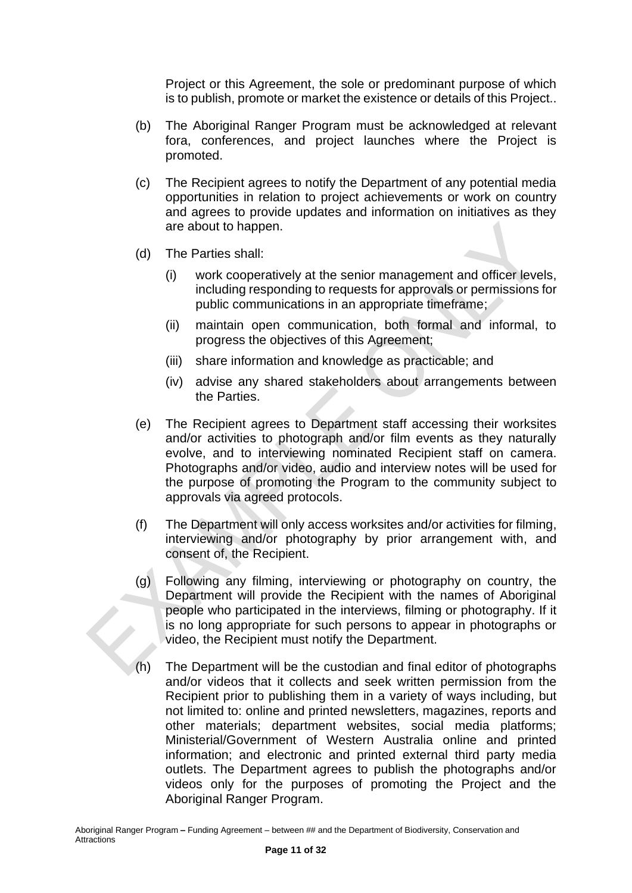Project or this Agreement, the sole or predominant purpose of which is to publish, promote or market the existence or details of this Project..

- (b) The Aboriginal Ranger Program must be acknowledged at relevant fora, conferences, and project launches where the Project is promoted.
- (c) The Recipient agrees to notify the Department of any potential media opportunities in relation to project achievements or work on country and agrees to provide updates and information on initiatives as they are about to happen.
- (d) The Parties shall:
	- (i) work cooperatively at the senior management and officer levels, including responding to requests for approvals or permissions for public communications in an appropriate timeframe;
	- (ii) maintain open communication, both formal and informal, to progress the objectives of this Agreement;
	- (iii) share information and knowledge as practicable; and
	- (iv) advise any shared stakeholders about arrangements between the Parties.
- (e) The Recipient agrees to Department staff accessing their worksites and/or activities to photograph and/or film events as they naturally evolve, and to interviewing nominated Recipient staff on camera. Photographs and/or video, audio and interview notes will be used for the purpose of promoting the Program to the community subject to approvals via agreed protocols.
- (f) The Department will only access worksites and/or activities for filming, interviewing and/or photography by prior arrangement with, and consent of, the Recipient.
- (g) Following any filming, interviewing or photography on country, the Department will provide the Recipient with the names of Aboriginal people who participated in the interviews, filming or photography. If it is no long appropriate for such persons to appear in photographs or video, the Recipient must notify the Department.
- (h) The Department will be the custodian and final editor of photographs and/or videos that it collects and seek written permission from the Recipient prior to publishing them in a variety of ways including, but not limited to: online and printed newsletters, magazines, reports and other materials; department websites, social media platforms; Ministerial/Government of Western Australia online and printed information; and electronic and printed external third party media outlets. The Department agrees to publish the photographs and/or videos only for the purposes of promoting the Project and the Aboriginal Ranger Program.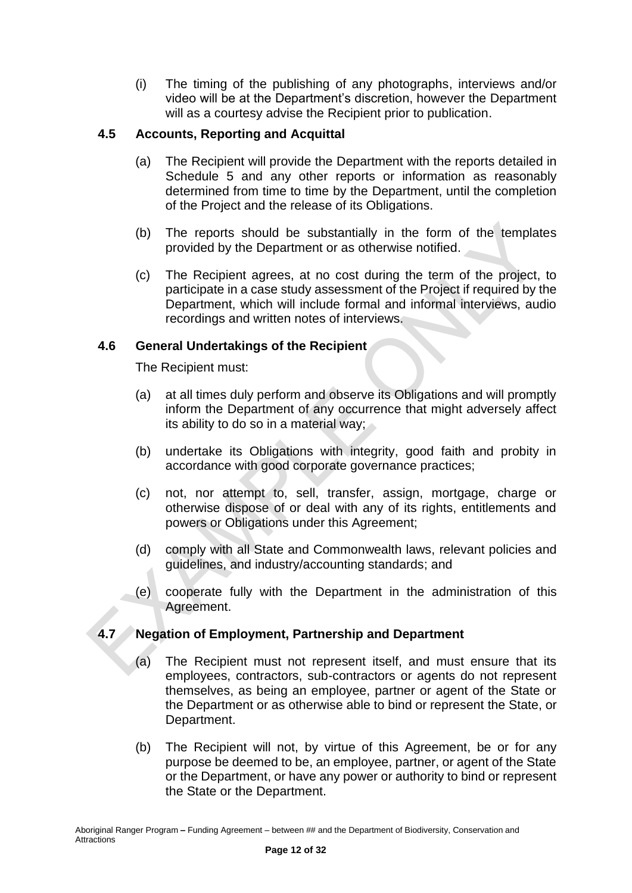(i) The timing of the publishing of any photographs, interviews and/or video will be at the Department's discretion, however the Department will as a courtesy advise the Recipient prior to publication.

## **4.5 Accounts, Reporting and Acquittal**

- (a) The Recipient will provide the Department with the reports detailed in Schedule 5 and any other reports or information as reasonably determined from time to time by the Department, until the completion of the Project and the release of its Obligations.
- (b) The reports should be substantially in the form of the templates provided by the Department or as otherwise notified.
- (c) The Recipient agrees, at no cost during the term of the project, to participate in a case study assessment of the Project if required by the Department, which will include formal and informal interviews, audio recordings and written notes of interviews.

## **4.6 General Undertakings of the Recipient**

The Recipient must:

- (a) at all times duly perform and observe its Obligations and will promptly inform the Department of any occurrence that might adversely affect its ability to do so in a material way;
- (b) undertake its Obligations with integrity, good faith and probity in accordance with good corporate governance practices;
- (c) not, nor attempt to, sell, transfer, assign, mortgage, charge or otherwise dispose of or deal with any of its rights, entitlements and powers or Obligations under this Agreement;
- (d) comply with all State and Commonwealth laws, relevant policies and guidelines, and industry/accounting standards; and
- (e) cooperate fully with the Department in the administration of this Agreement.

## **4.7 Negation of Employment, Partnership and Department**

- (a) The Recipient must not represent itself, and must ensure that its employees, contractors, sub-contractors or agents do not represent themselves, as being an employee, partner or agent of the State or the Department or as otherwise able to bind or represent the State, or Department.
- (b) The Recipient will not, by virtue of this Agreement, be or for any purpose be deemed to be, an employee, partner, or agent of the State or the Department, or have any power or authority to bind or represent the State or the Department.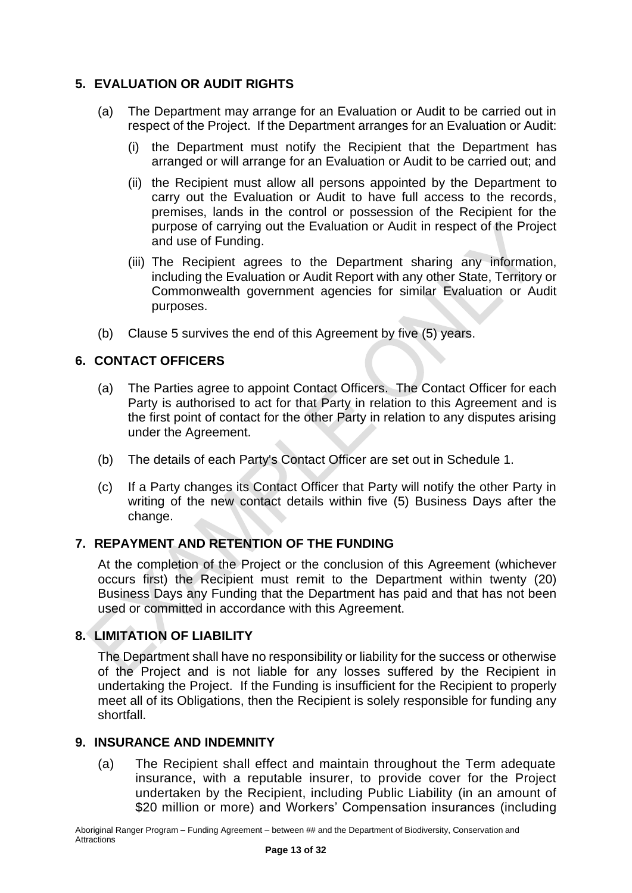## <span id="page-12-0"></span>**5. EVALUATION OR AUDIT RIGHTS**

- (a) The Department may arrange for an Evaluation or Audit to be carried out in respect of the Project. If the Department arranges for an Evaluation or Audit:
	- (i) the Department must notify the Recipient that the Department has arranged or will arrange for an Evaluation or Audit to be carried out; and
	- (ii) the Recipient must allow all persons appointed by the Department to carry out the Evaluation or Audit to have full access to the records, premises, lands in the control or possession of the Recipient for the purpose of carrying out the Evaluation or Audit in respect of the Project and use of Funding.
	- (iii) The Recipient agrees to the Department sharing any information, including the Evaluation or Audit Report with any other State, Territory or Commonwealth government agencies for similar Evaluation or Audit purposes.
- (b) Clause 5 survives the end of this Agreement by five (5) years.

## <span id="page-12-1"></span>**6. CONTACT OFFICERS**

- (a) The Parties agree to appoint Contact Officers. The Contact Officer for each Party is authorised to act for that Party in relation to this Agreement and is the first point of contact for the other Party in relation to any disputes arising under the Agreement.
- (b) The details of each Party's Contact Officer are set out in Schedule 1.
- (c) If a Party changes its Contact Officer that Party will notify the other Party in writing of the new contact details within five (5) Business Days after the change.

## <span id="page-12-2"></span>**7. REPAYMENT AND RETENTION OF THE FUNDING**

At the completion of the Project or the conclusion of this Agreement (whichever occurs first) the Recipient must remit to the Department within twenty (20) Business Days any Funding that the Department has paid and that has not been used or committed in accordance with this Agreement.

## <span id="page-12-3"></span>**8. LIMITATION OF LIABILITY**

The Department shall have no responsibility or liability for the success or otherwise of the Project and is not liable for any losses suffered by the Recipient in undertaking the Project. If the Funding is insufficient for the Recipient to properly meet all of its Obligations, then the Recipient is solely responsible for funding any shortfall.

#### <span id="page-12-4"></span>**9. INSURANCE AND INDEMNITY**

(a) The Recipient shall effect and maintain throughout the Term adequate insurance, with a reputable insurer, to provide cover for the Project undertaken by the Recipient, including Public Liability (in an amount of \$20 million or more) and Workers' Compensation insurances (including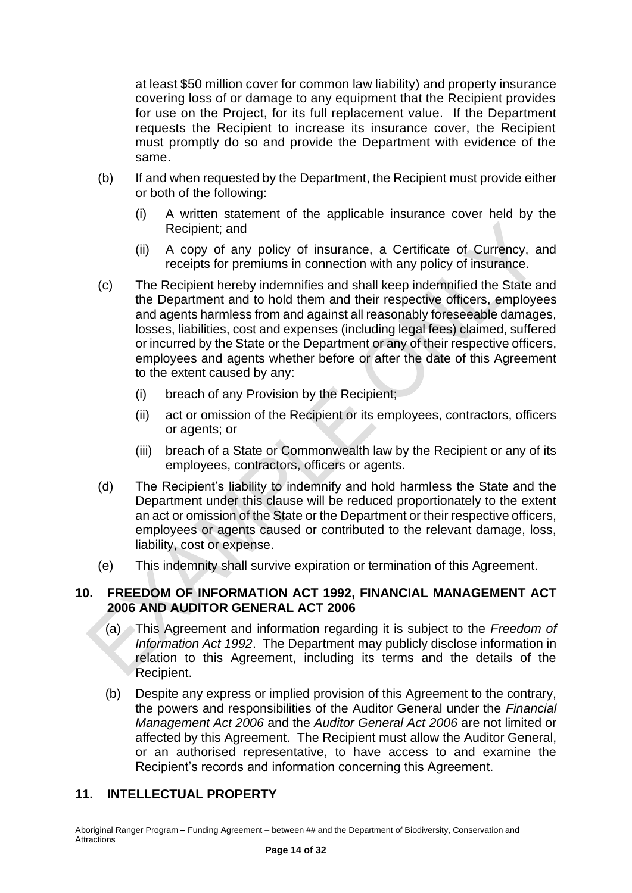at least \$50 million cover for common law liability) and property insurance covering loss of or damage to any equipment that the Recipient provides for use on the Project, for its full replacement value. If the Department requests the Recipient to increase its insurance cover, the Recipient must promptly do so and provide the Department with evidence of the same.

- (b) If and when requested by the Department, the Recipient must provide either or both of the following:
	- (i) A written statement of the applicable insurance cover held by the Recipient; and
	- (ii) A copy of any policy of insurance, a Certificate of Currency, and receipts for premiums in connection with any policy of insurance.
- (c) The Recipient hereby indemnifies and shall keep indemnified the State and the Department and to hold them and their respective officers, employees and agents harmless from and against all reasonably foreseeable damages, losses, liabilities, cost and expenses (including legal fees) claimed, suffered or incurred by the State or the Department or any of their respective officers, employees and agents whether before or after the date of this Agreement to the extent caused by any:
	- (i) breach of any Provision by the Recipient;
	- (ii) act or omission of the Recipient or its employees, contractors, officers or agents; or
	- (iii) breach of a State or Commonwealth law by the Recipient or any of its employees, contractors, officers or agents.
- (d) The Recipient's liability to indemnify and hold harmless the State and the Department under this clause will be reduced proportionately to the extent an act or omission of the State or the Department or their respective officers, employees or agents caused or contributed to the relevant damage, loss, liability, cost or expense.
- (e) This indemnity shall survive expiration or termination of this Agreement.

## <span id="page-13-0"></span>**10. FREEDOM OF INFORMATION ACT 1992, FINANCIAL MANAGEMENT ACT 2006 AND AUDITOR GENERAL ACT 2006**

- (a) This Agreement and information regarding it is subject to the *Freedom of Information Act 1992*. The Department may publicly disclose information in relation to this Agreement, including its terms and the details of the Recipient.
- (b) Despite any express or implied provision of this Agreement to the contrary, the powers and responsibilities of the Auditor General under the *Financial Management Act 2006* and the *Auditor General Act 2006* are not limited or affected by this Agreement. The Recipient must allow the Auditor General, or an authorised representative, to have access to and examine the Recipient's records and information concerning this Agreement.

## <span id="page-13-1"></span>**11. INTELLECTUAL PROPERTY**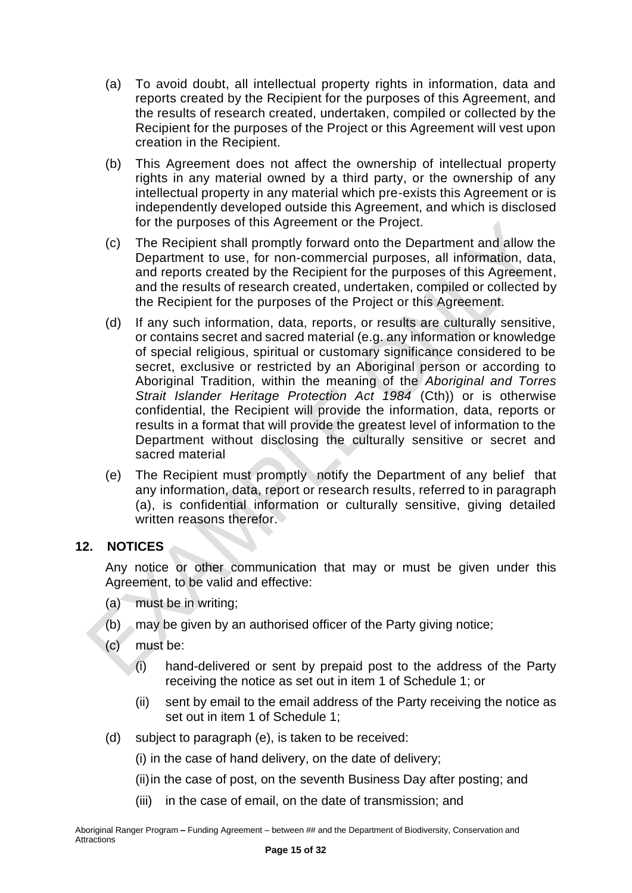- (a) To avoid doubt, all intellectual property rights in information, data and reports created by the Recipient for the purposes of this Agreement, and the results of research created, undertaken, compiled or collected by the Recipient for the purposes of the Project or this Agreement will vest upon creation in the Recipient.
- (b) This Agreement does not affect the ownership of intellectual property rights in any material owned by a third party, or the ownership of any intellectual property in any material which pre-exists this Agreement or is independently developed outside this Agreement, and which is disclosed for the purposes of this Agreement or the Project.
- (c) The Recipient shall promptly forward onto the Department and allow the Department to use, for non-commercial purposes, all information, data, and reports created by the Recipient for the purposes of this Agreement, and the results of research created, undertaken, compiled or collected by the Recipient for the purposes of the Project or this Agreement.
- (d) If any such information, data, reports, or results are culturally sensitive, or contains secret and sacred material (e.g. any information or knowledge of special religious, spiritual or customary significance considered to be secret, exclusive or restricted by an Aboriginal person or according to Aboriginal Tradition, within the meaning of the *Aboriginal and Torres Strait Islander Heritage Protection Act 1984* (Cth)) or is otherwise confidential, the Recipient will provide the information, data, reports or results in a format that will provide the greatest level of information to the Department without disclosing the culturally sensitive or secret and sacred material
- (e) The Recipient must promptly notify the Department of any belief that any information, data, report or research results, referred to in paragraph (a), is confidential information or culturally sensitive, giving detailed written reasons therefor.

## <span id="page-14-0"></span>**12. NOTICES**

Any notice or other communication that may or must be given under this Agreement, to be valid and effective:

- (a) must be in writing;
- (b) may be given by an authorised officer of the Party giving notice;
- (c) must be:
	- (i) hand-delivered or sent by prepaid post to the address of the Party receiving the notice as set out in item 1 of Schedule 1; or
	- (ii) sent by email to the email address of the Party receiving the notice as set out in item 1 of Schedule 1;
- (d) subject to paragraph (e), is taken to be received:
	- (i) in the case of hand delivery, on the date of delivery;
	- (ii)in the case of post, on the seventh Business Day after posting; and
	- (iii) in the case of email, on the date of transmission; and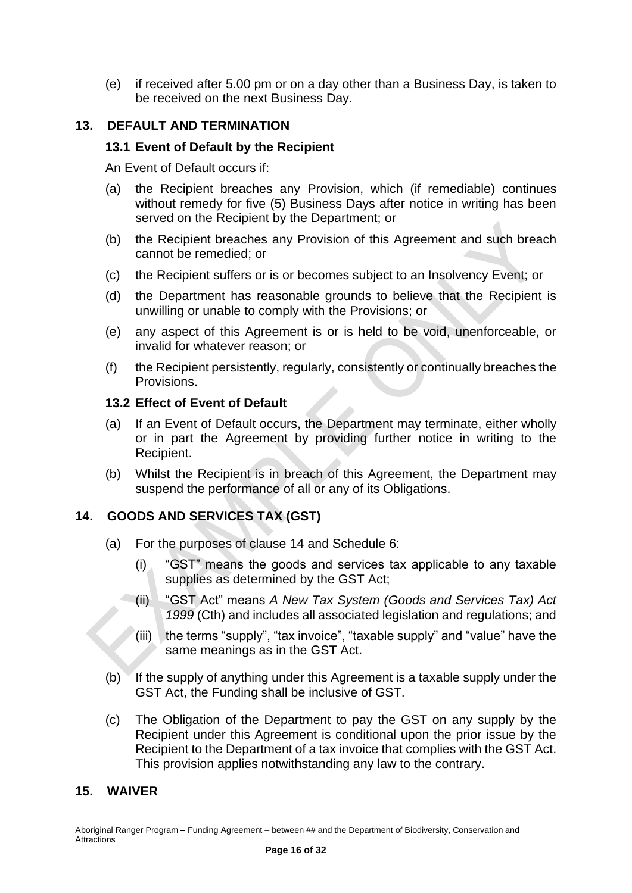(e) if received after 5.00 pm or on a day other than a Business Day, is taken to be received on the next Business Day.

## <span id="page-15-0"></span>**13. DEFAULT AND TERMINATION**

#### **13.1 Event of Default by the Recipient**

An Event of Default occurs if:

- (a) the Recipient breaches any Provision, which (if remediable) continues without remedy for five (5) Business Days after notice in writing has been served on the Recipient by the Department; or
- (b) the Recipient breaches any Provision of this Agreement and such breach cannot be remedied; or
- (c) the Recipient suffers or is or becomes subject to an Insolvency Event; or
- (d) the Department has reasonable grounds to believe that the Recipient is unwilling or unable to comply with the Provisions; or
- (e) any aspect of this Agreement is or is held to be void, unenforceable, or invalid for whatever reason; or
- (f) the Recipient persistently, regularly, consistently or continually breaches the Provisions.

#### **13.2 Effect of Event of Default**

- (a) If an Event of Default occurs, the Department may terminate, either wholly or in part the Agreement by providing further notice in writing to the Recipient.
- (b) Whilst the Recipient is in breach of this Agreement, the Department may suspend the performance of all or any of its Obligations.

#### <span id="page-15-1"></span>**14. GOODS AND SERVICES TAX (GST)**

- (a) For the purposes of clause 14 and Schedule 6:
	- (i) "GST" means the goods and services tax applicable to any taxable supplies as determined by the GST Act;
	- (ii) "GST Act" means *A New Tax System (Goods and Services Tax) Act 1999* (Cth) and includes all associated legislation and regulations; and
	- (iii) the terms "supply", "tax invoice", "taxable supply" and "value" have the same meanings as in the GST Act.
- (b)  $\blacktriangledown$  If the supply of anything under this Agreement is a taxable supply under the GST Act, the Funding shall be inclusive of GST.
- (c) The Obligation of the Department to pay the GST on any supply by the Recipient under this Agreement is conditional upon the prior issue by the Recipient to the Department of a tax invoice that complies with the GST Act. This provision applies notwithstanding any law to the contrary.

#### <span id="page-15-2"></span>**15. WAIVER**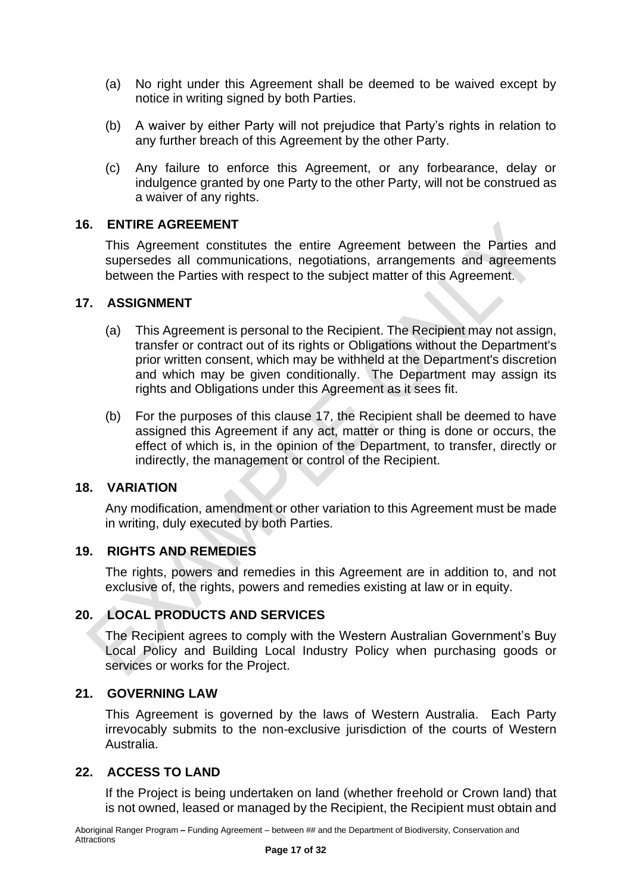- (a) No right under this Agreement shall be deemed to be waived except by notice in writing signed by both Parties.
- (b) A waiver by either Party will not prejudice that Party's rights in relation to any further breach of this Agreement by the other Party.
- (c) Any failure to enforce this Agreement, or any forbearance, delay or indulgence granted by one Party to the other Party, will not be construed as a waiver of any rights.

#### <span id="page-16-0"></span>**16. ENTIRE AGREEMENT**

This Agreement constitutes the entire Agreement between the Parties and supersedes all communications, negotiations, arrangements and agreements between the Parties with respect to the subject matter of this Agreement.

#### <span id="page-16-1"></span>**17. ASSIGNMENT**

- (a) This Agreement is personal to the Recipient. The Recipient may not assign, transfer or contract out of its rights or Obligations without the Department's prior written consent, which may be withheld at the Department's discretion and which may be given conditionally. The Department may assign its rights and Obligations under this Agreement as it sees fit.
- (b) For the purposes of this clause 17, the Recipient shall be deemed to have assigned this Agreement if any act, matter or thing is done or occurs, the effect of which is, in the opinion of the Department, to transfer, directly or indirectly, the management or control of the Recipient.

## <span id="page-16-2"></span>**18. VARIATION**

Any modification, amendment or other variation to this Agreement must be made in writing, duly executed by both Parties.

#### <span id="page-16-3"></span>**19. RIGHTS AND REMEDIES**

The rights, powers and remedies in this Agreement are in addition to, and not exclusive of, the rights, powers and remedies existing at law or in equity.

#### <span id="page-16-4"></span>**20. LOCAL PRODUCTS AND SERVICES**

The Recipient agrees to comply with the Western Australian Government's Buy Local Policy and Building Local Industry Policy when purchasing goods or services or works for the Project.

#### <span id="page-16-5"></span>**21. GOVERNING LAW**

This Agreement is governed by the laws of Western Australia. Each Party irrevocably submits to the non-exclusive jurisdiction of the courts of Western Australia.

#### <span id="page-16-6"></span>**22. ACCESS TO LAND**

If the Project is being undertaken on land (whether freehold or Crown land) that is not owned, leased or managed by the Recipient, the Recipient must obtain and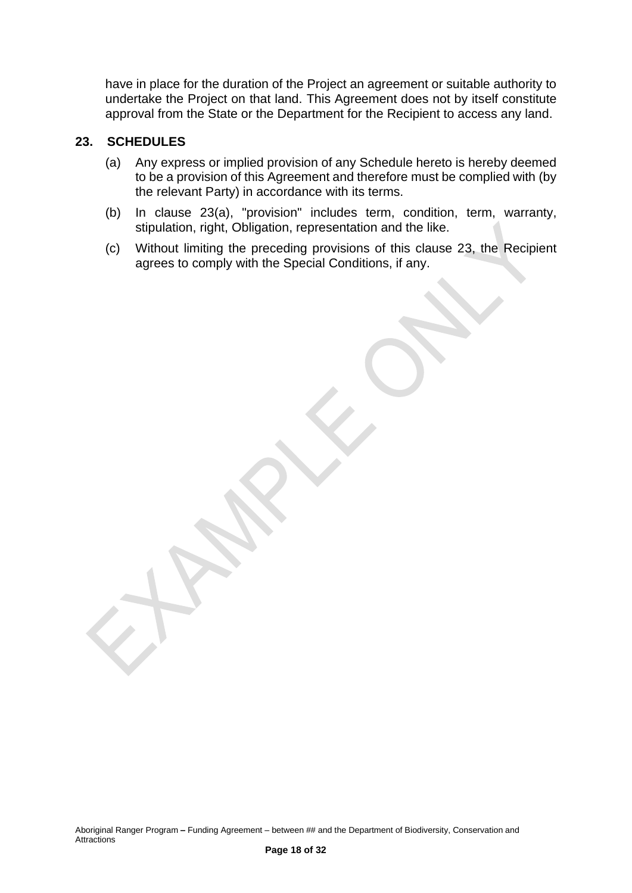have in place for the duration of the Project an agreement or suitable authority to undertake the Project on that land. This Agreement does not by itself constitute approval from the State or the Department for the Recipient to access any land.

#### <span id="page-17-0"></span>**23. SCHEDULES**

- (a) Any express or implied provision of any Schedule hereto is hereby deemed to be a provision of this Agreement and therefore must be complied with (by the relevant Party) in accordance with its terms.
- (b) In clause 23(a), "provision" includes term, condition, term, warranty, stipulation, right, Obligation, representation and the like.
- (c) Without limiting the preceding provisions of this clause 23, the Recipient agrees to comply with the Special Conditions, if any.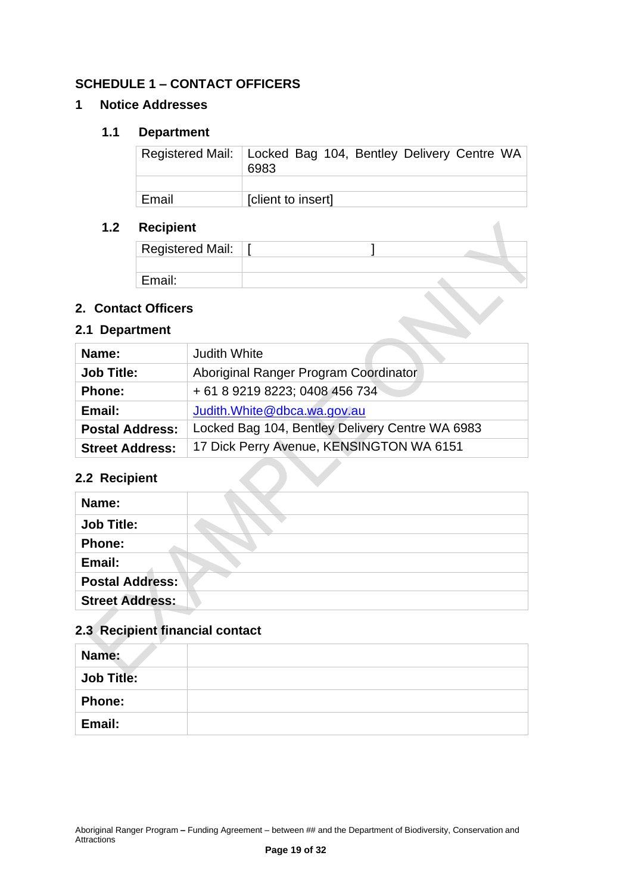## <span id="page-18-0"></span>**SCHEDULE 1 – CONTACT OFFICERS**

#### **1 Notice Addresses**

#### **1.1 Department**

|       | Registered Mail:   Locked Bag 104, Bentley Delivery Centre WA  <br>6983 |
|-------|-------------------------------------------------------------------------|
|       |                                                                         |
| Email | [client to insert]                                                      |

## **1.2 Recipient**

| Registered Mail: |  |  |
|------------------|--|--|
|                  |  |  |
| Email:           |  |  |

 $\overline{\phantom{a}}$ 

## **2. Contact Officers**

## **2.1 Department**

| Name:                  | <b>Judith White</b>                             |  |
|------------------------|-------------------------------------------------|--|
| <b>Job Title:</b>      | Aboriginal Ranger Program Coordinator           |  |
| <b>Phone:</b>          | + 61 8 9219 8223; 0408 456 734                  |  |
| Email:                 | Judith. White @dbca.wa.gov.au                   |  |
| <b>Postal Address:</b> | Locked Bag 104, Bentley Delivery Centre WA 6983 |  |
| <b>Street Address:</b> | 17 Dick Perry Avenue, KENSINGTON WA 6151        |  |
| 2.2 Recipient          |                                                 |  |

## **2.2 Recipient**

| Name:                  |  |
|------------------------|--|
| <b>Job Title:</b>      |  |
| <b>Phone:</b>          |  |
| Email:                 |  |
| <b>Postal Address:</b> |  |
| <b>Street Address:</b> |  |

## **2.3 Recipient financial contact**

| Name:             |  |
|-------------------|--|
| <b>Job Title:</b> |  |
| <b>Phone:</b>     |  |
| Email:            |  |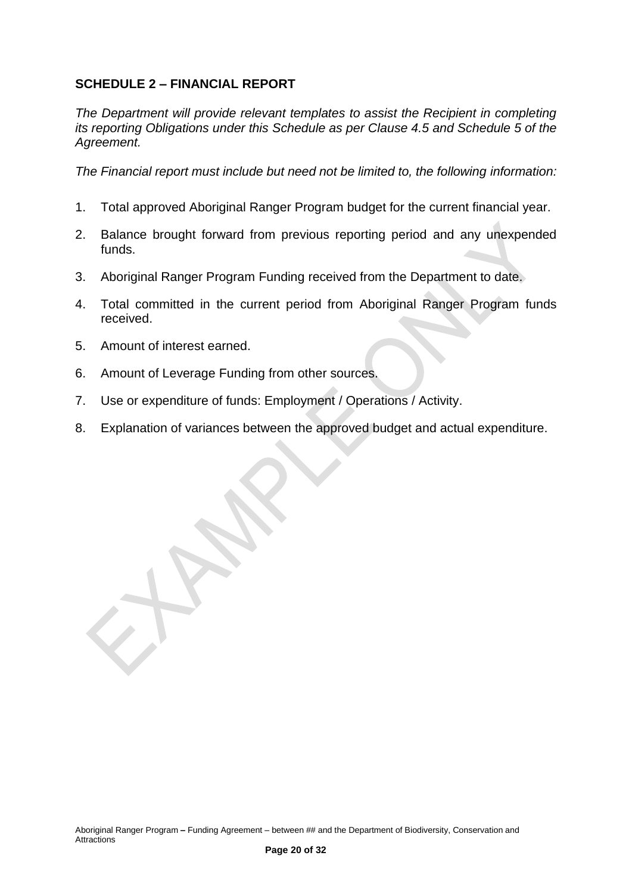## <span id="page-19-0"></span>**SCHEDULE 2 – FINANCIAL REPORT**

*The Department will provide relevant templates to assist the Recipient in completing its reporting Obligations under this Schedule as per Clause 4.5 and Schedule 5 of the Agreement.*

*The Financial report must include but need not be limited to, the following information:*

- 1. Total approved Aboriginal Ranger Program budget for the current financial year.
- 2. Balance brought forward from previous reporting period and any unexpended funds.
- 3. Aboriginal Ranger Program Funding received from the Department to date.
- 4. Total committed in the current period from Aboriginal Ranger Program funds received.
- 5. Amount of interest earned.
- 6. Amount of Leverage Funding from other sources.
- 7. Use or expenditure of funds: Employment / Operations / Activity.
- 8. Explanation of variances between the approved budget and actual expenditure.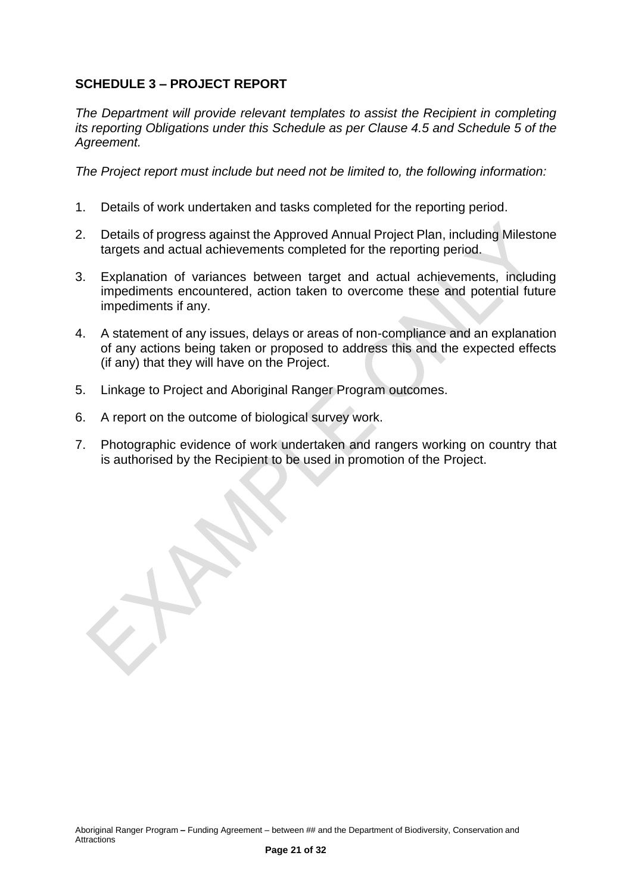## <span id="page-20-0"></span>**SCHEDULE 3 – PROJECT REPORT**

*The Department will provide relevant templates to assist the Recipient in completing its reporting Obligations under this Schedule as per Clause 4.5 and Schedule 5 of the Agreement.*

*The Project report must include but need not be limited to, the following information:*

- 1. Details of work undertaken and tasks completed for the reporting period.
- 2. Details of progress against the Approved Annual Project Plan, including Milestone targets and actual achievements completed for the reporting period.
- 3. Explanation of variances between target and actual achievements, including impediments encountered, action taken to overcome these and potential future impediments if any.
- 4. A statement of any issues, delays or areas of non-compliance and an explanation of any actions being taken or proposed to address this and the expected effects (if any) that they will have on the Project.
- 5. Linkage to Project and Aboriginal Ranger Program outcomes.
- 6. A report on the outcome of biological survey work.

7. Photographic evidence of work undertaken and rangers working on country that is authorised by the Recipient to be used in promotion of the Project.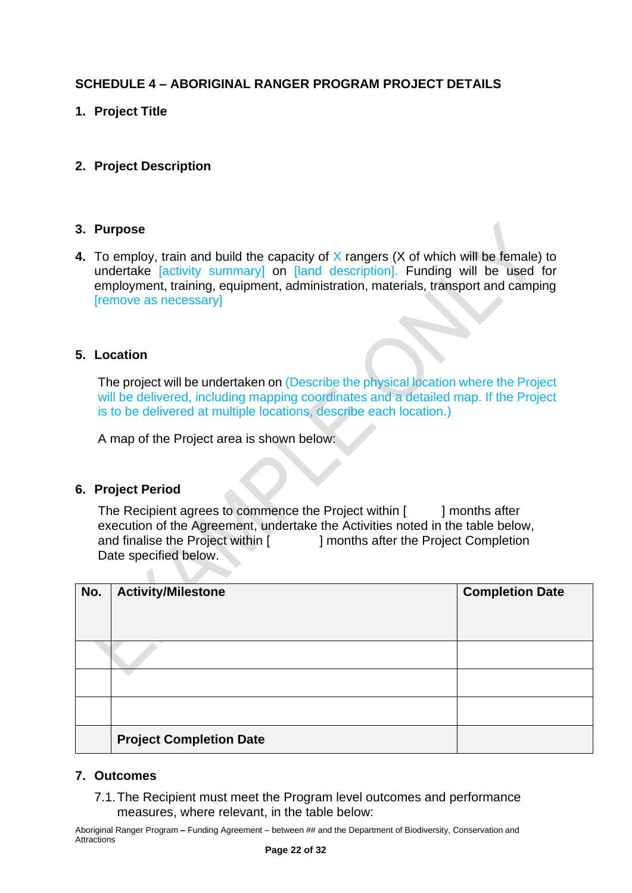## <span id="page-21-0"></span>**SCHEDULE 4 – ABORIGINAL RANGER PROGRAM PROJECT DETAILS**

## **1. Project Title**

## **2. Project Description**

#### **3. Purpose**

**4.** To employ, train and build the capacity of X rangers (X of which will be female) to undertake [activity summary] on [land description]. Funding will be used for employment, training, equipment, administration, materials, transport and camping [remove as necessary]

#### **5. Location**

The project will be undertaken on (Describe the physical location where the Project will be delivered, including mapping coordinates and a detailed map. If the Project is to be delivered at multiple locations, describe each location.)

A map of the Project area is shown below:

#### **6. Project Period**

 $\triangle$ 

The Recipient agrees to commence the Project within [ ] months after execution of the Agreement, undertake the Activities noted in the table below, and finalise the Project within [ ] months after the Project Completion Date specified below.

| No. | <b>Activity/Milestone</b>      | <b>Completion Date</b> |
|-----|--------------------------------|------------------------|
|     |                                |                        |
|     |                                |                        |
|     |                                |                        |
|     |                                |                        |
|     | <b>Project Completion Date</b> |                        |

#### **7. Outcomes**

7.1.The Recipient must meet the Program level outcomes and performance measures, where relevant, in the table below: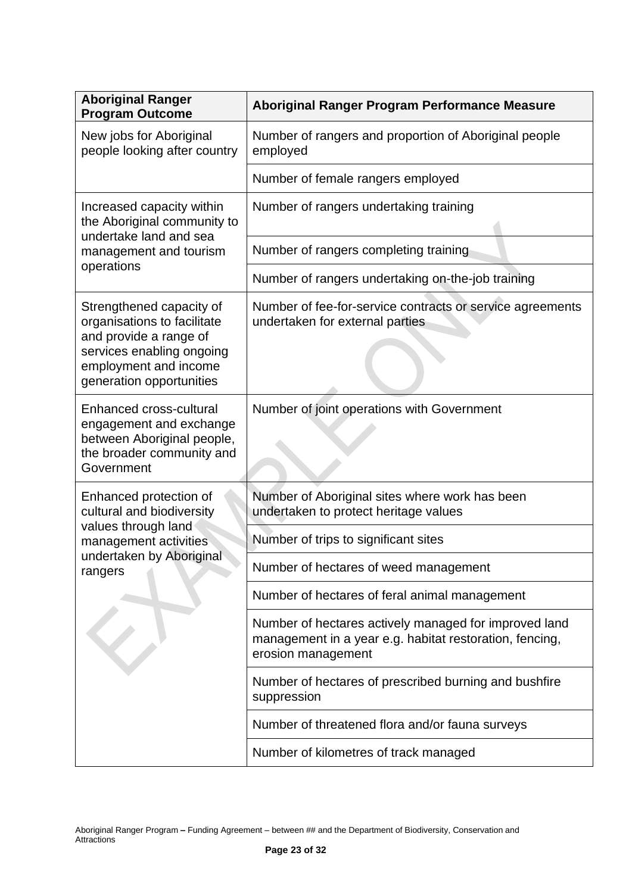| <b>Aboriginal Ranger</b><br><b>Program Outcome</b>                                                                                                                  | Aboriginal Ranger Program Performance Measure                                                                                          |  |  |
|---------------------------------------------------------------------------------------------------------------------------------------------------------------------|----------------------------------------------------------------------------------------------------------------------------------------|--|--|
| New jobs for Aboriginal<br>people looking after country                                                                                                             | Number of rangers and proportion of Aboriginal people<br>employed                                                                      |  |  |
|                                                                                                                                                                     | Number of female rangers employed                                                                                                      |  |  |
| Increased capacity within<br>the Aboriginal community to<br>undertake land and sea                                                                                  | Number of rangers undertaking training                                                                                                 |  |  |
| management and tourism                                                                                                                                              | Number of rangers completing training                                                                                                  |  |  |
| operations                                                                                                                                                          | Number of rangers undertaking on-the-job training                                                                                      |  |  |
| Strengthened capacity of<br>organisations to facilitate<br>and provide a range of<br>services enabling ongoing<br>employment and income<br>generation opportunities | Number of fee-for-service contracts or service agreements<br>undertaken for external parties                                           |  |  |
| <b>Enhanced cross-cultural</b><br>engagement and exchange<br>between Aboriginal people,<br>the broader community and<br>Government                                  | Number of joint operations with Government                                                                                             |  |  |
| Enhanced protection of<br>cultural and biodiversity                                                                                                                 | Number of Aboriginal sites where work has been<br>undertaken to protect heritage values                                                |  |  |
| values through land<br>management activities                                                                                                                        | Number of trips to significant sites                                                                                                   |  |  |
| undertaken by Aboriginal<br>rangers                                                                                                                                 | Number of hectares of weed management                                                                                                  |  |  |
|                                                                                                                                                                     | Number of hectares of feral animal management                                                                                          |  |  |
|                                                                                                                                                                     | Number of hectares actively managed for improved land<br>management in a year e.g. habitat restoration, fencing,<br>erosion management |  |  |
|                                                                                                                                                                     | Number of hectares of prescribed burning and bushfire<br>suppression                                                                   |  |  |
|                                                                                                                                                                     | Number of threatened flora and/or fauna surveys                                                                                        |  |  |
|                                                                                                                                                                     | Number of kilometres of track managed                                                                                                  |  |  |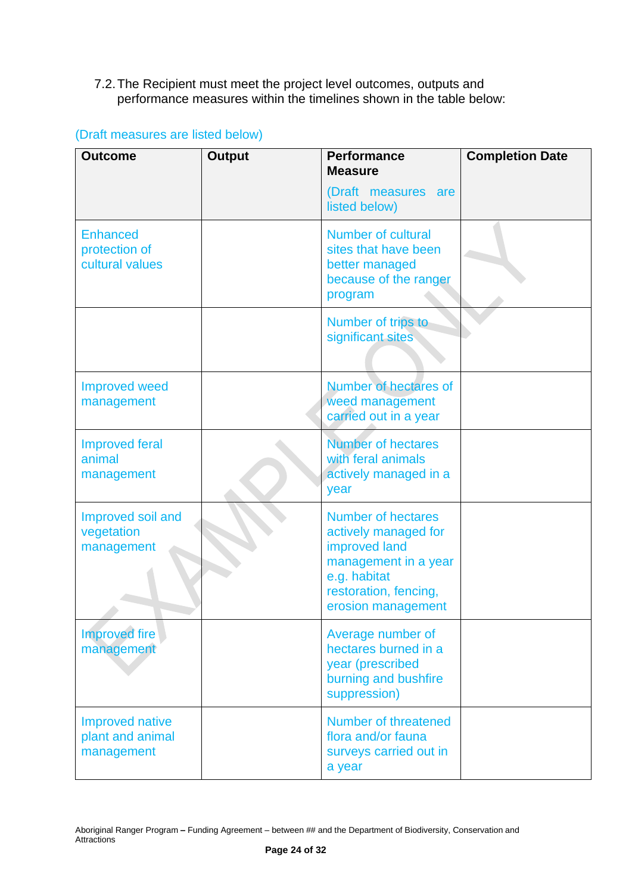## 7.2.The Recipient must meet the project level outcomes, outputs and performance measures within the timelines shown in the table below:

| <b>Outcome</b>                                           | <b>Output</b> | <b>Performance</b>                                                                                                                                        | <b>Completion Date</b> |
|----------------------------------------------------------|---------------|-----------------------------------------------------------------------------------------------------------------------------------------------------------|------------------------|
|                                                          |               | <b>Measure</b><br>(Draft measures are<br>listed below)                                                                                                    |                        |
| <b>Enhanced</b><br>protection of<br>cultural values      |               | <b>Number of cultural</b><br>sites that have been<br>better managed<br>because of the ranger<br>program                                                   |                        |
|                                                          |               | Number of trips to<br>significant sites                                                                                                                   |                        |
| <b>Improved weed</b><br>management                       |               | <b>Number of hectares of</b><br>weed management<br>carried out in a year                                                                                  |                        |
| <b>Improved feral</b><br>animal<br>management            |               | <b>Number of hectares</b><br>with feral animals<br>actively managed in a<br>year                                                                          |                        |
| Improved soil and<br>vegetation<br>management            |               | <b>Number of hectares</b><br>actively managed for<br>improved land<br>management in a year<br>e.g. habitat<br>restoration, fencing,<br>erosion management |                        |
| <b>Improved fire</b><br>management                       |               | Average number of<br>hectares burned in a<br>year (prescribed<br>burning and bushfire<br>suppression)                                                     |                        |
| <b>Improved native</b><br>plant and animal<br>management |               | Number of threatened<br>flora and/or fauna<br>surveys carried out in<br>a year                                                                            |                        |

## (Draft measures are listed below)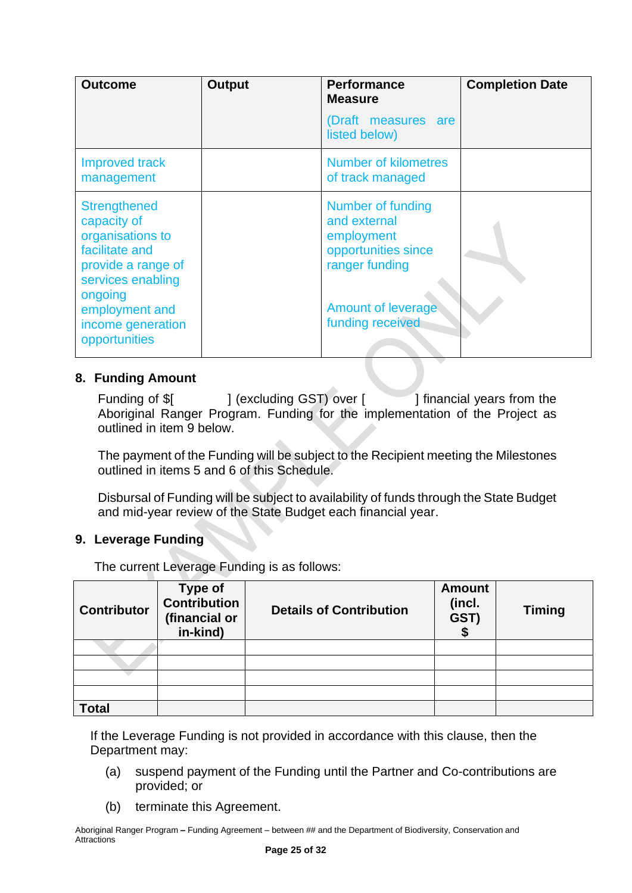| <b>Outcome</b>                                                                                                                                                                         | <b>Output</b> | <b>Performance</b><br><b>Measure</b>                                                                                                      | <b>Completion Date</b> |
|----------------------------------------------------------------------------------------------------------------------------------------------------------------------------------------|---------------|-------------------------------------------------------------------------------------------------------------------------------------------|------------------------|
|                                                                                                                                                                                        |               | (Draft measures are<br>listed below)                                                                                                      |                        |
| <b>Improved track</b><br>management                                                                                                                                                    |               | Number of kilometres<br>of track managed                                                                                                  |                        |
| <b>Strengthened</b><br>capacity of<br>organisations to<br>facilitate and<br>provide a range of<br>services enabling<br>ongoing<br>employment and<br>income generation<br>opportunities |               | Number of funding<br>and external<br>employment<br>opportunities since<br>ranger funding<br><b>Amount of leverage</b><br>funding received |                        |

#### **8. Funding Amount**

Funding of \$[ ] (excluding GST) over [ ] financial years from the Aboriginal Ranger Program. Funding for the implementation of the Project as outlined in item 9 below.

The payment of the Funding will be subject to the Recipient meeting the Milestones outlined in items 5 and 6 of this Schedule.

Disbursal of Funding will be subject to availability of funds through the State Budget and mid-year review of the State Budget each financial year.

## **9. Leverage Funding**

The current Leverage Funding is as follows:

| <b>Contributor</b> | <b>Type of</b><br><b>Contribution</b><br>(financial or<br>in-kind) | <b>Details of Contribution</b> | <b>Amount</b><br>(incl.<br>GST) | <b>Timing</b> |
|--------------------|--------------------------------------------------------------------|--------------------------------|---------------------------------|---------------|
|                    |                                                                    |                                |                                 |               |
|                    |                                                                    |                                |                                 |               |
|                    |                                                                    |                                |                                 |               |
|                    |                                                                    |                                |                                 |               |
| <b>Total</b>       |                                                                    |                                |                                 |               |

If the Leverage Funding is not provided in accordance with this clause, then the Department may:

- (a) suspend payment of the Funding until the Partner and Co-contributions are provided; or
- (b) terminate this Agreement.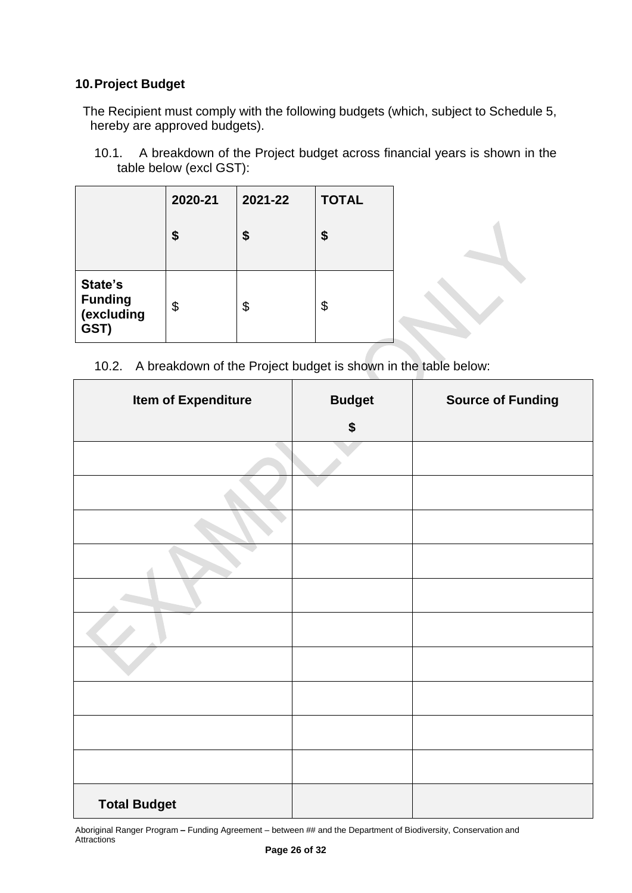## **10.Project Budget**

The Recipient must comply with the following budgets (which, subject to Schedule 5, hereby are approved budgets).

10.1. A breakdown of the Project budget across financial years is shown in the table below (excl GST):

|                                                 | 2020-21 | 2021-22 | <b>TOTAL</b> |  |
|-------------------------------------------------|---------|---------|--------------|--|
|                                                 | \$      | \$      | \$           |  |
| State's<br><b>Funding</b><br>(excluding<br>GST) | \$      | \$      | \$           |  |

10.2. A breakdown of the Project budget is shown in the table below:

| <b>Item of Expenditure</b> | <b>Budget</b> | <b>Source of Funding</b> |
|----------------------------|---------------|--------------------------|
|                            | \$            |                          |
|                            |               |                          |
|                            |               |                          |
|                            |               |                          |
|                            |               |                          |
|                            |               |                          |
|                            |               |                          |
|                            |               |                          |
|                            |               |                          |
|                            |               |                          |
|                            |               |                          |
| <b>Total Budget</b>        |               |                          |

Aboriginal Ranger Program **–** Funding Agreement – between ## and the Department of Biodiversity, Conservation and **Attractions**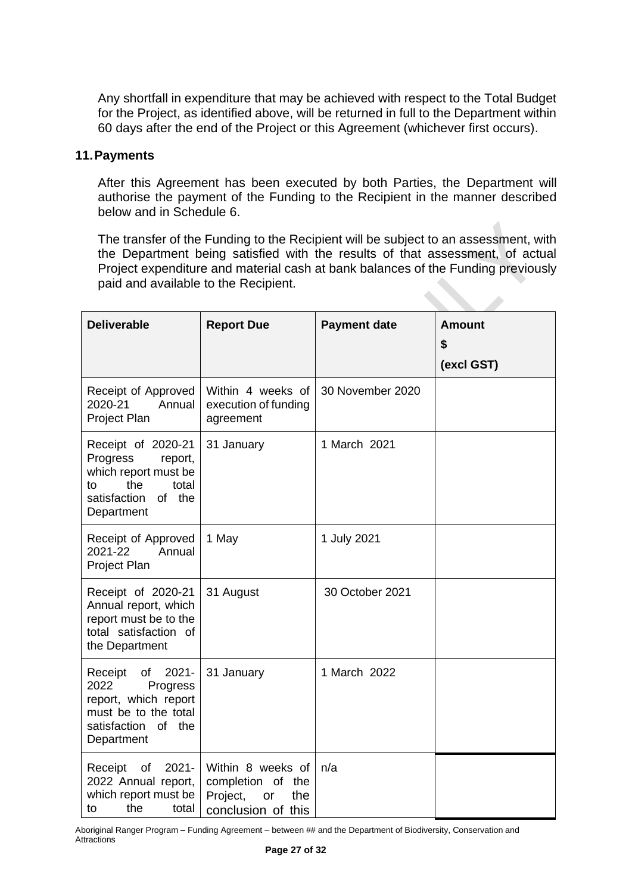Any shortfall in expenditure that may be achieved with respect to the Total Budget for the Project, as identified above, will be returned in full to the Department within 60 days after the end of the Project or this Agreement (whichever first occurs).

#### **11.Payments**

After this Agreement has been executed by both Parties, the Department will authorise the payment of the Funding to the Recipient in the manner described below and in Schedule 6.

The transfer of the Funding to the Recipient will be subject to an assessment, with the Department being satisfied with the results of that assessment, of actual Project expenditure and material cash at bank balances of the Funding previously paid and available to the Recipient. 

| <b>Deliverable</b>                                                                                                                 | <b>Report Due</b>                                                                        | <b>Payment date</b> | <b>Amount</b><br>\$<br>(excl GST) |
|------------------------------------------------------------------------------------------------------------------------------------|------------------------------------------------------------------------------------------|---------------------|-----------------------------------|
| Receipt of Approved<br>2020-21<br>Annual<br>Project Plan                                                                           | Within 4 weeks of<br>execution of funding<br>agreement                                   | 30 November 2020    |                                   |
| Receipt of 2020-21<br>Progress<br>report,<br>which report must be<br>the<br>total<br>to<br>satisfaction<br>of the<br>Department    | 31 January                                                                               | 1 March 2021        |                                   |
| Receipt of Approved<br>2021-22<br>Annual<br>Project Plan                                                                           | 1 May                                                                                    | 1 July 2021         |                                   |
| Receipt of 2020-21<br>Annual report, which<br>report must be to the<br>total satisfaction of<br>the Department                     | 31 August                                                                                | 30 October 2021     |                                   |
| $2021 -$<br>Receipt<br>of<br>2022<br>Progress<br>report, which report<br>must be to the total<br>satisfaction of the<br>Department | 31 January                                                                               | 1 March 2022        |                                   |
| $2021 -$<br>Receipt<br>of<br>2022 Annual report,<br>which report must be<br>the<br>total<br>to                                     | Within 8 weeks of<br>completion of<br>the<br>Project,<br>the<br>or<br>conclusion of this | n/a                 |                                   |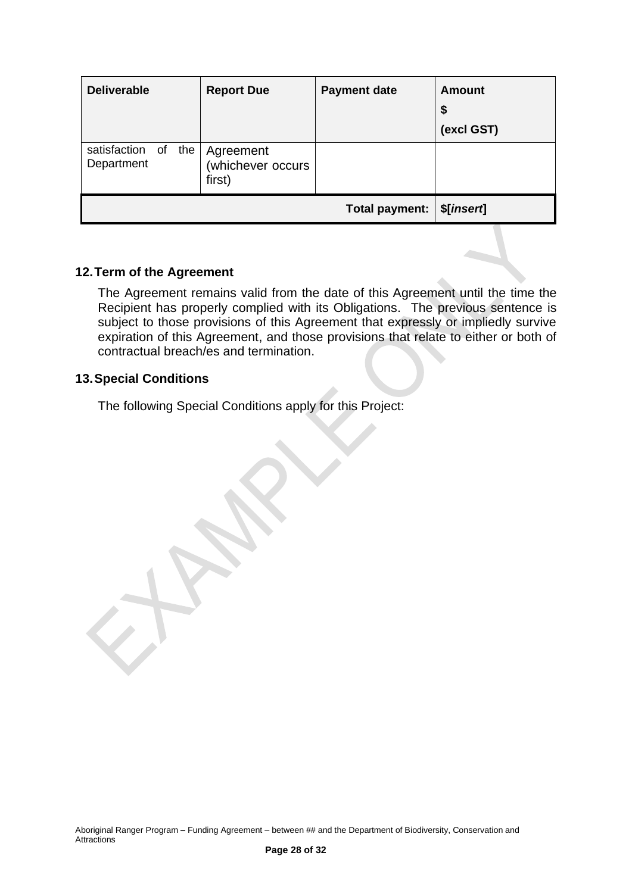| <b>Deliverable</b>                   | <b>Report Due</b>                        | <b>Payment date</b> | Amount<br>\$<br>(excl GST) |
|--------------------------------------|------------------------------------------|---------------------|----------------------------|
| satisfaction of<br>the<br>Department | Agreement<br>(whichever occurs<br>first) |                     |                            |
|                                      |                                          | Total payment:      | \$[insert]                 |

## **12.Term of the Agreement**

The Agreement remains valid from the date of this Agreement until the time the Recipient has properly complied with its Obligations. The previous sentence is subject to those provisions of this Agreement that expressly or impliedly survive expiration of this Agreement, and those provisions that relate to either or both of contractual breach/es and termination.

#### **13.Special Conditions**

The following Special Conditions apply for this Project: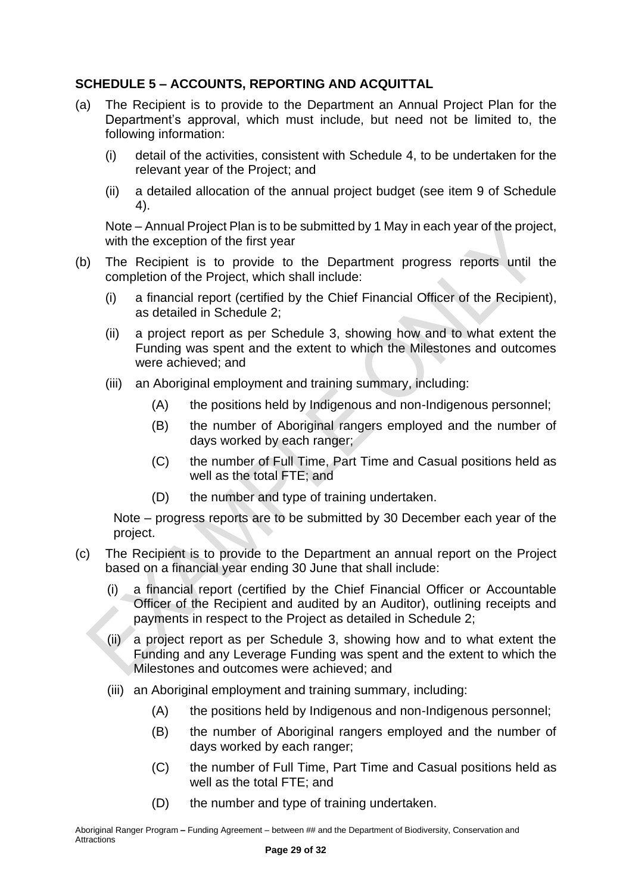## <span id="page-28-0"></span>**SCHEDULE 5 – ACCOUNTS, REPORTING AND ACQUITTAL**

- (a) The Recipient is to provide to the Department an Annual Project Plan for the Department's approval, which must include, but need not be limited to, the following information:
	- (i) detail of the activities, consistent with Schedule 4, to be undertaken for the relevant year of the Project; and
	- (ii) a detailed allocation of the annual project budget (see item 9 of Schedule 4).

Note – Annual Project Plan is to be submitted by 1 May in each year of the project, with the exception of the first year

- (b) The Recipient is to provide to the Department progress reports until the completion of the Project, which shall include:
	- (i) a financial report (certified by the Chief Financial Officer of the Recipient), as detailed in Schedule 2;
	- (ii) a project report as per Schedule 3, showing how and to what extent the Funding was spent and the extent to which the Milestones and outcomes were achieved; and
	- (iii) an Aboriginal employment and training summary, including:
		- (A) the positions held by Indigenous and non-Indigenous personnel;
		- (B) the number of Aboriginal rangers employed and the number of days worked by each ranger;
		- (C) the number of Full Time, Part Time and Casual positions held as well as the total FTE; and
		- (D) the number and type of training undertaken.

Note – progress reports are to be submitted by 30 December each year of the project.

- (c) The Recipient is to provide to the Department an annual report on the Project based on a financial year ending 30 June that shall include:
	- (i) a financial report (certified by the Chief Financial Officer or Accountable Officer of the Recipient and audited by an Auditor), outlining receipts and payments in respect to the Project as detailed in Schedule 2;
	- (ii) a project report as per Schedule 3, showing how and to what extent the Funding and any Leverage Funding was spent and the extent to which the Milestones and outcomes were achieved; and
	- (iii) an Aboriginal employment and training summary, including:
		- (A) the positions held by Indigenous and non-Indigenous personnel;
		- (B) the number of Aboriginal rangers employed and the number of days worked by each ranger;
		- (C) the number of Full Time, Part Time and Casual positions held as well as the total FTE; and
		- (D) the number and type of training undertaken.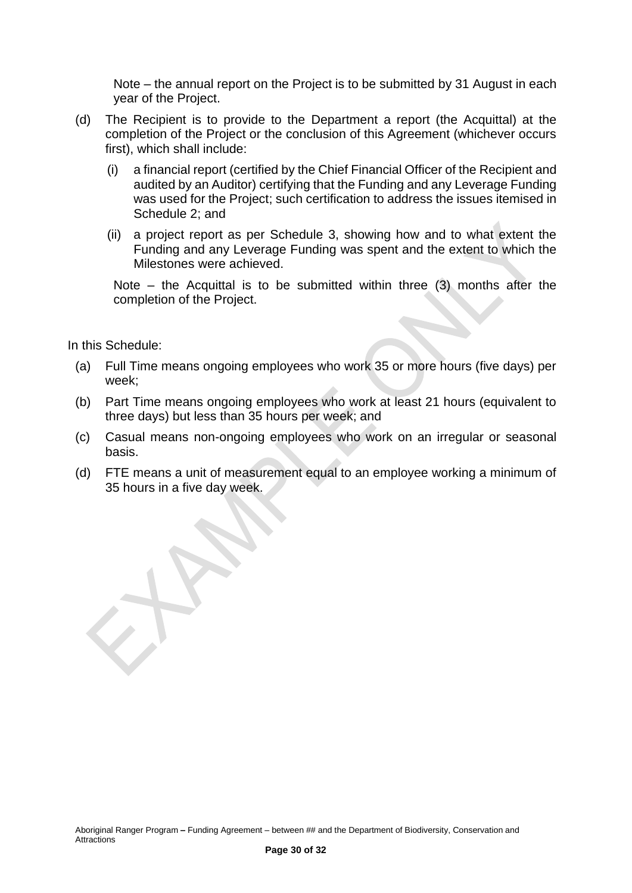Note – the annual report on the Project is to be submitted by 31 August in each year of the Project.

- (d) The Recipient is to provide to the Department a report (the Acquittal) at the completion of the Project or the conclusion of this Agreement (whichever occurs first), which shall include:
	- (i) a financial report (certified by the Chief Financial Officer of the Recipient and audited by an Auditor) certifying that the Funding and any Leverage Funding was used for the Project; such certification to address the issues itemised in Schedule 2; and
	- (ii) a project report as per Schedule 3, showing how and to what extent the Funding and any Leverage Funding was spent and the extent to which the Milestones were achieved.

Note – the Acquittal is to be submitted within three (3) months after the completion of the Project.

In this Schedule:

- (a) Full Time means ongoing employees who work 35 or more hours (five days) per week;
- (b) Part Time means ongoing employees who work at least 21 hours (equivalent to three days) but less than 35 hours per week; and
- (c) Casual means non-ongoing employees who work on an irregular or seasonal basis.
- (d) FTE means a unit of measurement equal to an employee working a minimum of 35 hours in a five day week.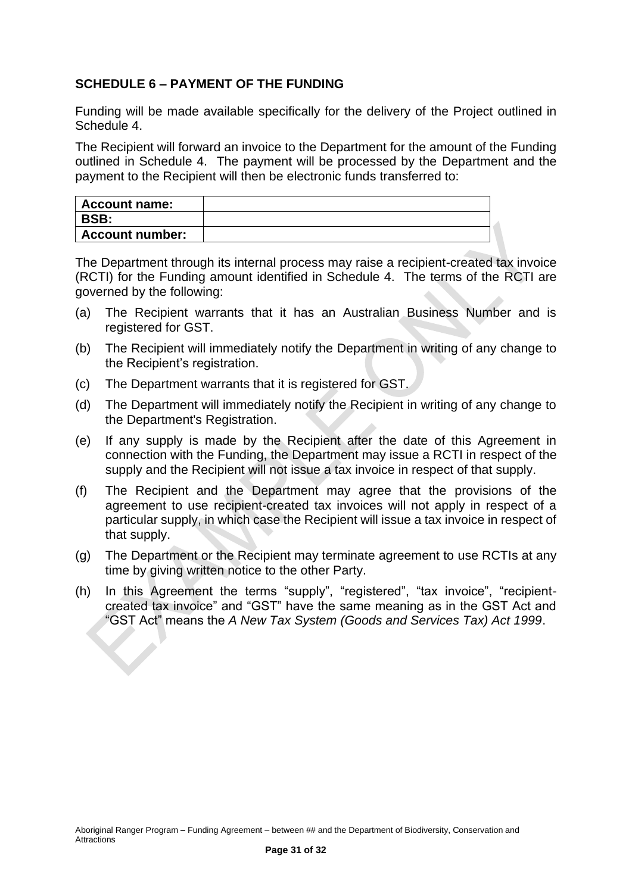## <span id="page-30-0"></span>**SCHEDULE 6 – PAYMENT OF THE FUNDING**

Funding will be made available specifically for the delivery of the Project outlined in Schedule 4.

The Recipient will forward an invoice to the Department for the amount of the Funding outlined in Schedule 4. The payment will be processed by the Department and the payment to the Recipient will then be electronic funds transferred to:

| Account name:          |  |
|------------------------|--|
| <b>BSB:</b>            |  |
| <b>Account number:</b> |  |

The Department through its internal process may raise a recipient-created tax invoice (RCTI) for the Funding amount identified in Schedule 4. The terms of the RCTI are governed by the following:

- (a) The Recipient warrants that it has an Australian Business Number and is registered for GST.
- (b) The Recipient will immediately notify the Department in writing of any change to the Recipient's registration.
- (c) The Department warrants that it is registered for GST.
- (d) The Department will immediately notify the Recipient in writing of any change to the Department's Registration.
- (e) If any supply is made by the Recipient after the date of this Agreement in connection with the Funding, the Department may issue a RCTI in respect of the supply and the Recipient will not issue a tax invoice in respect of that supply.
- (f) The Recipient and the Department may agree that the provisions of the agreement to use recipient-created tax invoices will not apply in respect of a particular supply, in which case the Recipient will issue a tax invoice in respect of that supply.
- (g) The Department or the Recipient may terminate agreement to use RCTIs at any time by giving written notice to the other Party.
- (h) In this Agreement the terms "supply", "registered", "tax invoice", "recipientcreated tax invoice" and "GST" have the same meaning as in the GST Act and "GST Act" means the *A New Tax System (Goods and Services Tax) Act 1999*.